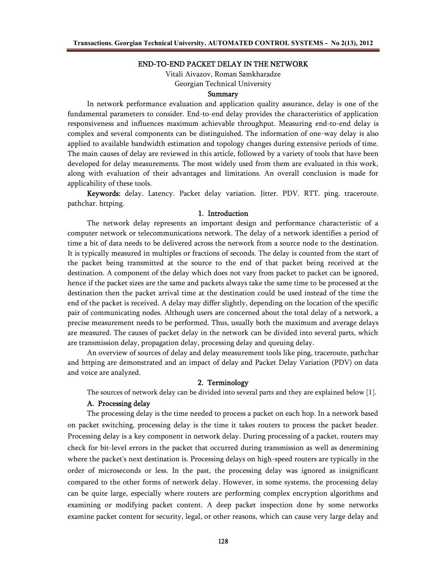### **END-TO-END PACKET DELAY IN THE NETWORK**

Vitali Aivazov, Roman Samkharadze Georgian Technical University

### **Summary**

In network performance evaluation and application quality assurance, delay is one of the fundamental parameters to consider. End-to-end delay provides the characteristics of application responsiveness and influences maximum achievable throughput. Measuring end-to-end delay is complex and several components can be distinguished. The information of one-way delay is also applied to available bandwidth estimation and topology changes during extensive periods of time. The main causes of delay are reviewed in this article, followed by a variety of tools that have been developed for delay measurements. The most widely used from them are evaluated in this work, along with evaluation of their advantages and limitations. An overall conclusion is made for applicability of these tools.

**Keywords:** delay. Latency. Packet delay variation. Jitter. PDV. RTT. ping. traceroute. pathchar. httping.

#### **1. Introduction**

The network delay represents an important design and performance characteristic of a computer network or telecommunications network. The delay of a network identifies a period of time a bit of data needs to be delivered across the network from a source node to the destination. It is typically measured in multiples or fractions of seconds. The delay is counted from the start of the packet being transmitted at the source to the end of that packet being received at the destination. A component of the delay which does not vary from packet to packet can be ignored, hence if the packet sizes are the same and packets always take the same time to be processed at the destination then the packet arrival time at the destination could be used instead of the time the end of the packet is received. A delay may differ slightly, depending on the location of the specific pair of communicating nodes. Although users are concerned about the total delay of a network, a precise measurement needs to be performed. Thus, usually both the maximum and average delays are measured. The causes of packet delay in the network can be divided into several parts, which are transmission delay, propagation delay, processing delay and queuing delay.

An overview of sources of delay and delay measurement tools like ping, traceroute, pathchar and httping are demonstrated and an impact of delay and Packet Delay Variation (PDV) on data and voice are analyzed.

## **2. Terminology**

The sources of network delay can be divided into several parts and they are explained below [1].

### **A. Processing delay**

The processing delay is the time needed to process a packet on each hop. In a network based on packet switching, processing delay is the time it takes routers to process the packet header. Processing delay is a key component in network delay. During processing of a packet, routers may check for bit-level errors in the packet that occurred during transmission as well as determining where the packet's next destination is. Processing delays on high-speed routers are typically in the order of microseconds or less. In the past, the processing delay was ignored as insignificant compared to the other forms of network delay. However, in some systems, the processing delay can be quite large, especially where routers are performing complex encryption algorithms and examining or modifying packet content. A deep packet inspection done by some networks examine packet content for security, legal, or other reasons, which can cause very large delay and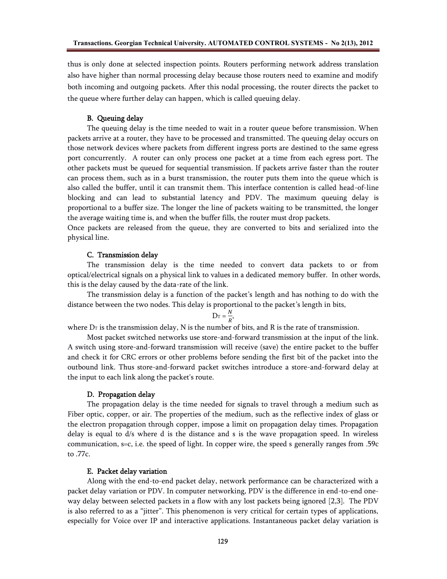thus is only done at selected inspection points. Routers performing network address translation also have higher than normal processing delay because those routers need to examine and modify both incoming and outgoing packets. After this nodal processing, the router directs the packet to the queue where further delay can happen, which is called queuing delay.

## **B. Queuing delay**

The queuing delay is the time needed to wait in a router queue before transmission. When packets arrive at a router, they have to be processed and transmitted. The queuing delay occurs on those network devices where packets from different ingress ports are destined to the same egress port concurrently. A router can only process one packet at a time from each egress port. The other packets must be queued for sequential transmission. If packets arrive faster than the router can process them, such as in a burst transmission, the router puts them into the queue which is also called the buffer, until it can transmit them. This interface contention is called head-of-line blocking and can lead to substantial latency and PDV. The maximum queuing delay is proportional to a buffer size. The longer the line of packets waiting to be transmitted, the longer the average waiting time is, and when the buffer fills, the router must drop packets.

Once packets are released from the queue, they are converted to bits and serialized into the physical line.

### **C. Transmission delay**

The transmission delay is the time needed to convert data packets to or from optical/electrical signals on a physical link to values in a dedicated memory buffer. In other words, this is the delay caused by the data-rate of the link.

The transmission delay is a function of the packet's length and has nothing to do with the distance between the two nodes. This delay is proportional to the packet's length in bits,

$$
D_T = \frac{N}{R},
$$

where  $D_T$  is the transmission delay, N is the number of bits, and R is the rate of transmission.

Most packet switched networks use store-and-forward transmission at the input of the link. A switch using store-and-forward transmission will receive (save) the entire packet to the buffer and check it for CRC errors or other problems before sending the first bit of the packet into the outbound link. Thus store-and-forward packet switches introduce a store-and-forward delay at the input to each link along the packet's route.

## **D. Propagation delay**

The propagation delay is the time needed for signals to travel through a medium such as Fiber optic, copper, or air. The properties of the medium, such as the reflective index of glass or the electron propagation through copper, impose a limit on propagation delay times. Propagation delay is equal to d/s where d is the distance and s is the wave propagation speed. In wireless communication, s=c, i.e. the speed of light. In copper wire, the speed s generally ranges from .59c to .77c.

## **E. Packet delay variation**

Along with the end-to-end packet delay, network performance can be characterized with a packet delay variation or PDV. In computer networking, PDV is the difference in end-to-end oneway delay between selected packets in a flow with any lost packets being ignored [2,3]. The PDV is also referred to as a "jitter". This phenomenon is very critical for certain types of applications, especially for Voice over IP and interactive applications. Instantaneous packet delay variation is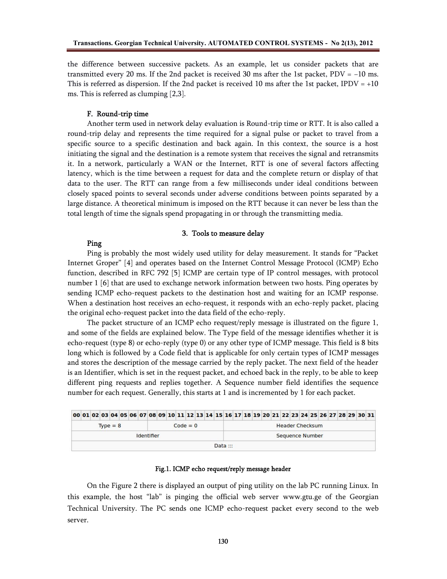the difference between successive packets. As an example, let us consider packets that are transmitted every 20 ms. If the 2nd packet is received 30 ms after the 1st packet,  $PDV = -10$  ms. This is referred as dispersion. If the 2nd packet is received 10 ms after the 1st packet, IPDV =  $+10$ ms. This is referred as clumping [2,3].

### **F. Round-trip time**

Another term used in network delay evaluation is Round-trip time or RTT. It is also called a round-trip delay and represents the time required for a signal pulse or packet to travel from a specific source to a specific destination and back again. In this context, the source is a host initiating the signal and the destination is a remote system that receives the signal and retransmits it. In a network, particularly a WAN or the Internet, RTT is one of several factors affecting latency, which is the time between a request for data and the complete return or display of that data to the user. The RTT can range from a few milliseconds under ideal conditions between closely spaced points to several seconds under adverse conditions between points separated by a large distance. A theoretical minimum is imposed on the RTT because it can never be less than the total length of time the signals spend propagating in or through the transmitting media.

#### **3. Tools to measure delay**

## **Ping**

Ping is probably the most widely used utility for delay measurement. It stands for "Packet Internet Groper" [4] and operates based on the Internet Control Message Protocol (ICMP) Echo function, described in RFC 792 [5] ICMP are certain type of IP control messages, with protocol number 1 [6] that are used to exchange network information between two hosts. Ping operates by sending ICMP echo-request packets to the destination host and waiting for an ICMP response. When a destination host receives an echo-request, it responds with an echo-reply packet, placing the original echo-request packet into the data field of the echo-reply.

The packet structure of an ICMP echo request/reply message is illustrated on the figure 1, and some of the fields are explained below. The Type field of the message identifies whether it is echo-request (type 8) or echo-reply (type 0) or any other type of ICMP message. This field is 8 bits long which is followed by a Code field that is applicable for only certain types of ICMP messages and stores the description of the message carried by the reply packet. The next field of the header is an Identifier, which is set in the request packet, and echoed back in the reply, to be able to keep different ping requests and replies together. A Sequence number field identifies the sequence number for each request. Generally, this starts at 1 and is incremented by 1 for each packet.

|                          | 00 01 02 03 04 05 06 07 08 09 10 11 12 13 14 15 16 17 18 19 20 21 22 23 24 25 26 27 28 29 30 31 |  |  |  |  |  |  |  |  |  |  |  |                        |                        |  |  |  |  |  |  |  |  |  |  |  |  |  |  |  |  |
|--------------------------|-------------------------------------------------------------------------------------------------|--|--|--|--|--|--|--|--|--|--|--|------------------------|------------------------|--|--|--|--|--|--|--|--|--|--|--|--|--|--|--|--|
| $Type = 8$<br>$Code = 0$ |                                                                                                 |  |  |  |  |  |  |  |  |  |  |  | <b>Header Checksum</b> |                        |  |  |  |  |  |  |  |  |  |  |  |  |  |  |  |  |
| Identifier               |                                                                                                 |  |  |  |  |  |  |  |  |  |  |  |                        | <b>Sequence Number</b> |  |  |  |  |  |  |  |  |  |  |  |  |  |  |  |  |
|                          |                                                                                                 |  |  |  |  |  |  |  |  |  |  |  |                        | Data: $\mathbb{R}$     |  |  |  |  |  |  |  |  |  |  |  |  |  |  |  |  |

#### **Fig.1. ICMP echo request/reply message header**

On the Figure 2 there is displayed an output of ping utility on the lab PC running Linux. In this example, the host "lab" is pinging the official web server www.gtu.ge of the Georgian Technical University. The PC sends one ICMP echo-request packet every second to the web server.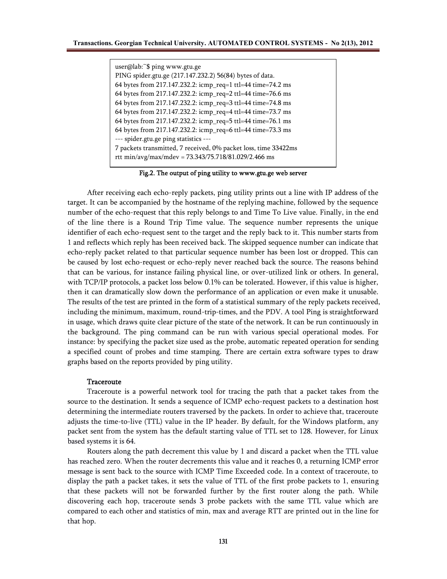user@lab:~\$ ping www.gtu.ge PING spider.gtu.ge (217.147.232.2) 56(84) bytes of data. 64 bytes from 217.147.232.2: icmp\_req=1 ttl=44 time=74.2 ms 64 bytes from 217.147.232.2: icmp\_req=2 ttl=44 time=76.6 ms 64 bytes from 217.147.232.2: icmp\_req=3 ttl=44 time=74.8 ms 64 bytes from 217.147.232.2: icmp\_req=4 ttl=44 time=73.7 ms 64 bytes from 217.147.232.2: icmp\_req=5 ttl=44 time=76.1 ms 64 bytes from 217.147.232.2: icmp\_req=6 ttl=44 time=73.3 ms --- spider.gtu.ge ping statistics --- 7 packets transmitted, 7 received, 0% packet loss, time 33422ms rtt min/avg/max/mdev = 73.343/75.718/81.029/2.466 ms

**Fig.2. The output of ping utility to www.gtu.ge web server**

After receiving each echo-reply packets, ping utility prints out a line with IP address of the target. It can be accompanied by the hostname of the replying machine, followed by the sequence number of the echo-request that this reply belongs to and Time To Live value. Finally, in the end of the line there is a Round Trip Time value. The sequence number represents the unique identifier of each echo-request sent to the target and the reply back to it. This number starts from 1 and reflects which reply has been received back. The skipped sequence number can indicate that echo-reply packet related to that particular sequence number has been lost or dropped. This can be caused by lost echo-request or echo-reply never reached back the source. The reasons behind that can be various, for instance failing physical line, or over-utilized link or others. In general, with TCP/IP protocols, a packet loss below 0.1% can be tolerated. However, if this value is higher, then it can dramatically slow down the performance of an application or even make it unusable. The results of the test are printed in the form of a statistical summary of the reply packets received, including the minimum, maximum, round-trip-times, and the PDV. A tool Ping is straightforward in usage, which draws quite clear picture of the state of the network. It can be run continuously in the background. The ping command can be run with various special operational modes. For instance: by specifying the packet size used as the probe, automatic repeated operation for sending a specified count of probes and time stamping. There are certain extra software types to draw graphs based on the reports provided by ping utility.

#### **Traceroute**

Traceroute is a powerful network tool for tracing the path that a packet takes from the source to the destination. It sends a sequence of ICMP echo-request packets to a destination host determining the intermediate routers traversed by the packets. In order to achieve that, traceroute adjusts the time-to-live (TTL) value in the IP header. By default, for the Windows platform, any packet sent from the system has the default starting value of TTL set to 128. However, for Linux based systems it is 64.

Routers along the path decrement this value by 1 and discard a packet when the TTL value has reached zero. When the router decrements this value and it reaches 0, a returning ICMP error message is sent back to the source with ICMP Time Exceeded code. In a context of traceroute, to display the path a packet takes, it sets the value of TTL of the first probe packets to 1, ensuring that these packets will not be forwarded further by the first router along the path. While discovering each hop, traceroute sends 3 probe packets with the same TTL value which are compared to each other and statistics of min, max and average RTT are printed out in the line for that hop.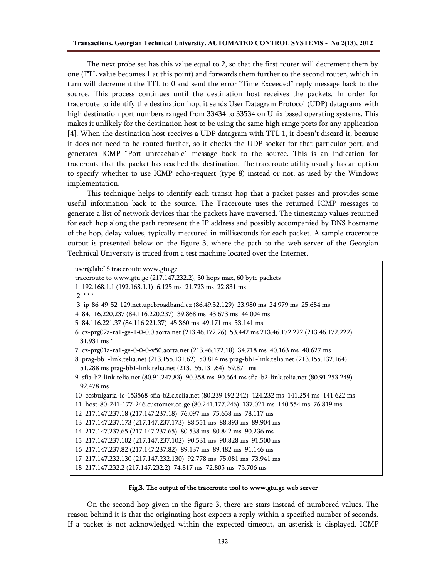The next probe set has this value equal to 2, so that the first router will decrement them by one (TTL value becomes 1 at this point) and forwards them further to the second router, which in turn will decrement the TTL to 0 and send the error "Time Exceeded" reply message back to the source. This process continues until the destination host receives the packets. In order for traceroute to identify the destination hop, it sends User Datagram Protocol (UDP) datagrams with high destination port numbers ranged from 33434 to 33534 on Unix based operating systems. This makes it unlikely for the destination host to be using the same high range ports for any application [4]. When the destination host receives a UDP datagram with TTL 1, it doesn't discard it, because it does not need to be routed further, so it checks the UDP socket for that particular port, and generates ICMP "Port unreachable" message back to the source. This is an indication for traceroute that the packet has reached the destination. The traceroute utility usually has an option to specify whether to use ICMP echo-request (type 8) instead or not, as used by the Windows implementation.

This technique helps to identify each transit hop that a packet passes and provides some useful information back to the source. The Traceroute uses the returned ICMP messages to generate a list of network devices that the packets have traversed. The timestamp values returned for each hop along the path represent the IP address and possibly accompanied by DNS hostname of the hop, delay values, typically measured in milliseconds for each packet. A sample traceroute output is presented below on the figure 3, where the path to the web server of the Georgian Technical University is traced from a test machine located over the Internet.

```
user@lab:~$ traceroute www.gtu.ge
traceroute to www.gtu.ge (217.147.232.2), 30 hops max, 60 byte packets
1 192.168.1.1 (192.168.1.1) 6.125 ms 21.723 ms 22.831 ms
2 * * *
3 ip-86-49-52-129.net.upcbroadband.cz (86.49.52.129) 23.980 ms 24.979 ms 25.684 ms
4 84.116.220.237 (84.116.220.237) 39.868 ms 43.673 ms 44.004 ms
5 84.116.221.37 (84.116.221.37) 45.360 ms 49.171 ms 53.141 ms
6 cz-prg02a-ra1-ge-1-0-0.0.aorta.net (213.46.172.26) 53.442 ms 213.46.172.222 (213.46.172.222)
 31.931 ms *
7 cz-prg01a-ra1-ge-0-0-0-v50.aorta.net (213.46.172.18) 34.718 ms 40.163 ms 40.627 ms
8 prag-bb1-link.telia.net (213.155.131.62) 50.814 ms prag-bb1-link.telia.net (213.155.132.164)
 51.288 ms prag-bb1-link.telia.net (213.155.131.64) 59.871 ms
9 sfia-b2-link.telia.net (80.91.247.83) 90.358 ms 90.664 ms sfia-b2-link.telia.net (80.91.253.249)
 92.478 ms
10 ccsbulgaria-ic-153568-sfia-b2.c.telia.net (80.239.192.242) 124.232 ms 141.254 ms 141.622 ms
11 host-80-241-177-246.customer.co.ge (80.241.177.246) 137.021 ms 140.554 ms 76.819 ms
12 217.147.237.18 (217.147.237.18) 76.097 ms 75.658 ms 78.117 ms
13 217.147.237.173 (217.147.237.173) 88.551 ms 88.893 ms 89.904 ms
14 217.147.237.65 (217.147.237.65) 80.538 ms 80.842 ms 90.236 ms
15 217.147.237.102 (217.147.237.102) 90.531 ms 90.828 ms 91.500 ms
16 217.147.237.82 (217.147.237.82) 89.137 ms 89.482 ms 91.146 ms
17 217.147.232.130 (217.147.232.130) 92.778 ms 75.081 ms 73.941 ms
18 217.147.232.2 (217.147.232.2) 74.817 ms 72.805 ms 73.706 ms
```
#### **Fig.3. The output of the traceroute tool to www.gtu.ge web server**

On the second hop given in the figure 3, there are stars instead of numbered values. The reason behind it is that the originating host expects a reply within a specified number of seconds. If a packet is not acknowledged within the expected timeout, an asterisk is displayed. ICMP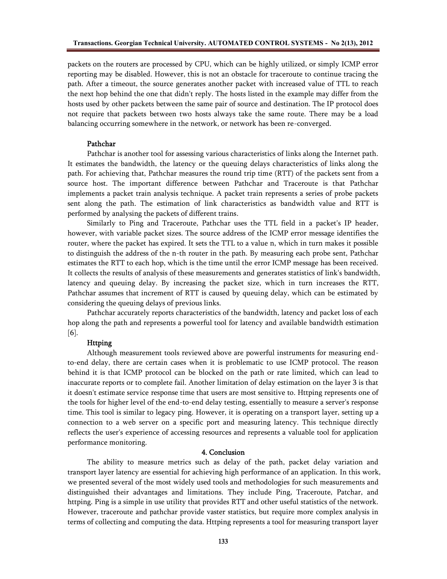packets on the routers are processed by CPU, which can be highly utilized, or simply ICMP error reporting may be disabled. However, this is not an obstacle for traceroute to continue tracing the path. After a timeout, the source generates another packet with increased value of TTL to reach the next hop behind the one that didn't reply. The hosts listed in the example may differ from the hosts used by other packets between the same pair of source and destination. The IP protocol does not require that packets between two hosts always take the same route. There may be a load balancing occurring somewhere in the network, or network has been re-converged.

### **Pathchar**

Pathchar is another tool for assessing various characteristics of links along the Internet path. It estimates the bandwidth, the latency or the queuing delays characteristics of links along the path. For achieving that, Pathchar measures the round trip time (RTT) of the packets sent from a source host. The important difference between Pathchar and Traceroute is that Pathchar implements a packet train analysis technique. A packet train represents a series of probe packets sent along the path. The estimation of link characteristics as bandwidth value and RTT is performed by analysing the packets of different trains.

Similarly to Ping and Traceroute, Pathchar uses the TTL field in a packet's IP header, however, with variable packet sizes. The source address of the ICMP error message identifies the router, where the packet has expired. It sets the TTL to a value n, which in turn makes it possible to distinguish the address of the n-th router in the path. By measuring each probe sent, Pathchar estimates the RTT to each hop, which is the time until the error ICMP message has been received. It collects the results of analysis of these measurements and generates statistics of link's bandwidth, latency and queuing delay. By increasing the packet size, which in turn increases the RTT, Pathchar assumes that increment of RTT is caused by queuing delay, which can be estimated by considering the queuing delays of previous links.

Pathchar accurately reports characteristics of the bandwidth, latency and packet loss of each hop along the path and represents a powerful tool for latency and available bandwidth estimation [6].

## **Httping**

Although measurement tools reviewed above are powerful instruments for measuring endto-end delay, there are certain cases when it is problematic to use ICMP protocol. The reason behind it is that ICMP protocol can be blocked on the path or rate limited, which can lead to inaccurate reports or to complete fail. Another limitation of delay estimation on the layer 3 is that it doesn't estimate service response time that users are most sensitive to. Httping represents one of the tools for higher level of the end-to-end delay testing, essentially to measure a server's response time. This tool is similar to legacy ping. However, it is operating on a transport layer, setting up a connection to a web server on a specific port and measuring latency. This technique directly reflects the user's experience of accessing resources and represents a valuable tool for application performance monitoring.

## **4. Conclusion**

The ability to measure metrics such as delay of the path, packet delay variation and transport layer latency are essential for achieving high performance of an application. In this work, we presented several of the most widely used tools and methodologies for such measurements and distinguished their advantages and limitations. They include Ping, Traceroute, Patchar, and httping. Ping is a simple in use utility that provides RTT and other useful statistics of the network. However, traceroute and pathchar provide vaster statistics, but require more complex analysis in terms of collecting and computing the data. Httping represents a tool for measuring transport layer